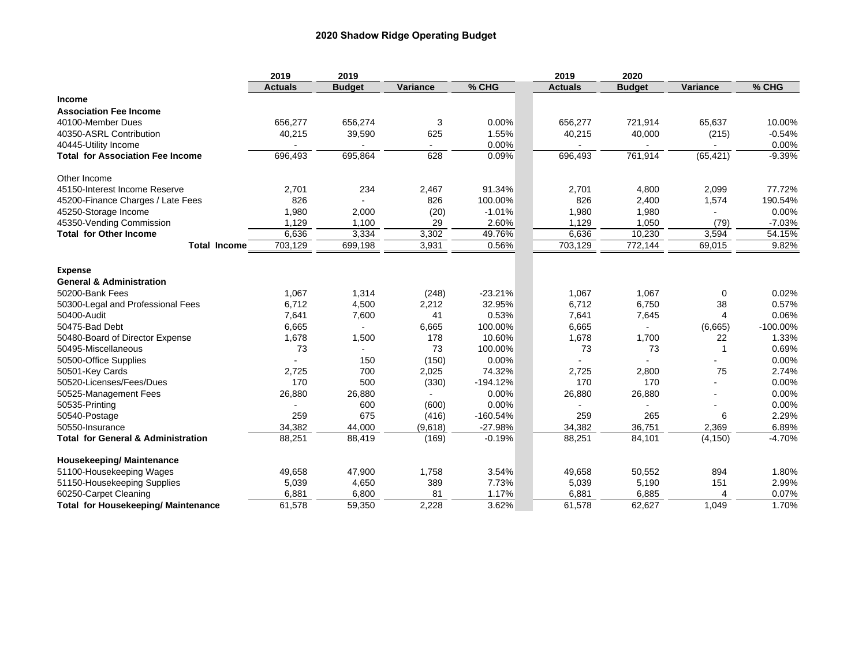|                                               | 2019           | 2019          |          |            | 2019           | 2020          |              |             |
|-----------------------------------------------|----------------|---------------|----------|------------|----------------|---------------|--------------|-------------|
|                                               | <b>Actuals</b> | <b>Budget</b> | Variance | % CHG      | <b>Actuals</b> | <b>Budget</b> | Variance     | % CHG       |
| Income                                        |                |               |          |            |                |               |              |             |
| <b>Association Fee Income</b>                 |                |               |          |            |                |               |              |             |
| 40100-Member Dues                             | 656,277        | 656,274       | 3        | 0.00%      | 656,277        | 721,914       | 65,637       | 10.00%      |
| 40350-ASRL Contribution                       | 40,215         | 39,590        | 625      | 1.55%      | 40,215         | 40,000        | (215)        | $-0.54%$    |
| 40445-Utility Income                          |                |               |          | 0.00%      |                |               |              | 0.00%       |
| <b>Total for Association Fee Income</b>       | 696,493        | 695,864       | 628      | 0.09%      | 696,493        | 761,914       | (65, 421)    | $-9.39%$    |
| Other Income                                  |                |               |          |            |                |               |              |             |
| 45150-Interest Income Reserve                 | 2,701          | 234           | 2,467    | 91.34%     | 2,701          | 4,800         | 2,099        | 77.72%      |
| 45200-Finance Charges / Late Fees             | 826            |               | 826      | 100.00%    | 826            | 2,400         | 1,574        | 190.54%     |
| 45250-Storage Income                          | 1,980          | 2,000         | (20)     | $-1.01%$   | 1,980          | 1,980         |              | 0.00%       |
| 45350-Vending Commission                      | 1,129          | 1,100         | 29       | 2.60%      | 1,129          | 1,050         | (79)         | $-7.03%$    |
| <b>Total for Other Income</b>                 | 6,636          | 3,334         | 3,302    | 49.76%     | 6,636          | 10,230        | 3,594        | 54.15%      |
| <b>Total Income</b>                           | 703,129        | 699,198       | 3,931    | 0.56%      | 703,129        | 772,144       | 69,015       | 9.82%       |
| <b>Expense</b>                                |                |               |          |            |                |               |              |             |
| <b>General &amp; Administration</b>           |                |               |          |            |                |               |              |             |
| 50200-Bank Fees                               | 1,067          | 1,314         | (248)    | $-23.21%$  | 1,067          | 1,067         | 0            | 0.02%       |
| 50300-Legal and Professional Fees             | 6,712          | 4,500         | 2,212    | 32.95%     | 6,712          | 6,750         | 38           | 0.57%       |
| 50400-Audit                                   | 7,641          | 7,600         | 41       | 0.53%      | 7,641          | 7,645         | 4            | 0.06%       |
| 50475-Bad Debt                                | 6,665          |               | 6,665    | 100.00%    | 6,665          |               | (6,665)      | $-100.00\%$ |
| 50480-Board of Director Expense               | 1,678          | 1,500         | 178      | 10.60%     | 1,678          | 1,700         | 22           | 1.33%       |
| 50495-Miscellaneous                           | 73             |               | 73       | 100.00%    | 73             | 73            | $\mathbf{1}$ | 0.69%       |
| 50500-Office Supplies                         |                | 150           | (150)    | 0.00%      |                |               |              | 0.00%       |
| 50501-Key Cards                               | 2,725          | 700           | 2,025    | 74.32%     | 2,725          | 2,800         | 75           | 2.74%       |
| 50520-Licenses/Fees/Dues                      | 170            | 500           | (330)    | $-194.12%$ | 170            | 170           |              | 0.00%       |
| 50525-Management Fees                         | 26,880         | 26,880        |          | 0.00%      | 26,880         | 26,880        |              | 0.00%       |
| 50535-Printing                                |                | 600           | (600)    | 0.00%      |                |               |              | 0.00%       |
| 50540-Postage                                 | 259            | 675           | (416)    | $-160.54%$ | 259            | 265           | 6            | 2.29%       |
| 50550-Insurance                               | 34,382         | 44,000        | (9,618)  | $-27.98%$  | 34,382         | 36,751        | 2,369        | 6.89%       |
| <b>Total for General &amp; Administration</b> | 88,251         | 88,419        | (169)    | $-0.19%$   | 88,251         | 84,101        | (4, 150)     | $-4.70%$    |
| <b>Housekeeping/Maintenance</b>               |                |               |          |            |                |               |              |             |
| 51100-Housekeeping Wages                      | 49,658         | 47,900        | 1,758    | 3.54%      | 49,658         | 50,552        | 894          | 1.80%       |
| 51150-Housekeeping Supplies                   | 5,039          | 4,650         | 389      | 7.73%      | 5,039          | 5,190         | 151          | 2.99%       |
| 60250-Carpet Cleaning                         | 6,881          | 6,800         | 81       | 1.17%      | 6,881          | 6,885         | 4            | 0.07%       |
| <b>Total for Housekeeping/ Maintenance</b>    | 61,578         | 59,350        | 2,228    | 3.62%      | 61,578         | 62,627        | 1,049        | 1.70%       |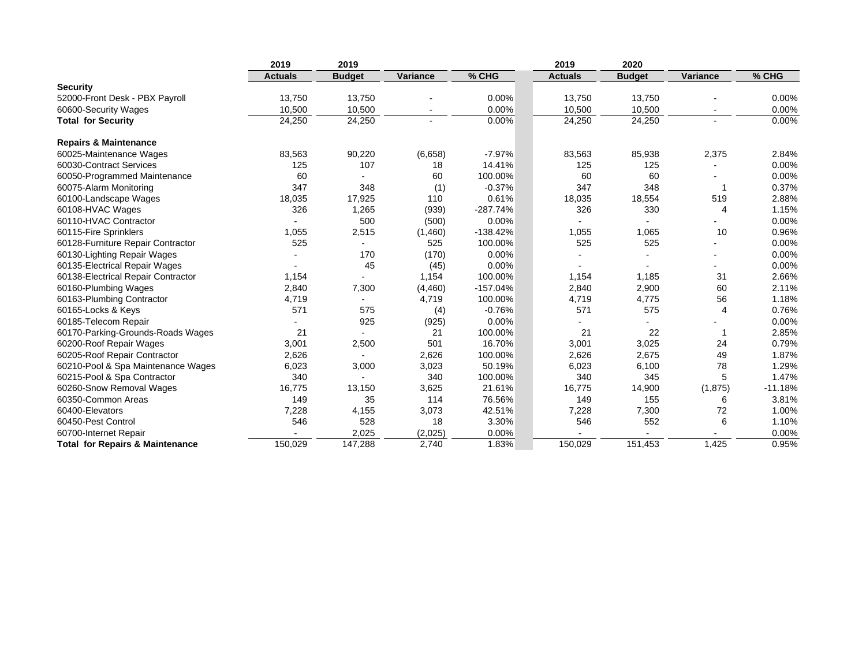|                                            | 2019           | 2019          |          |            | 2019           | 2020          |                |           |
|--------------------------------------------|----------------|---------------|----------|------------|----------------|---------------|----------------|-----------|
|                                            | <b>Actuals</b> | <b>Budget</b> | Variance | % CHG      | <b>Actuals</b> | <b>Budget</b> | Variance       | % CHG     |
| <b>Security</b>                            |                |               |          |            |                |               |                |           |
| 52000-Front Desk - PBX Payroll             | 13,750         | 13,750        |          | 0.00%      | 13,750         | 13,750        |                | $0.00\%$  |
| 60600-Security Wages                       | 10,500         | 10,500        |          | 0.00%      | 10,500         | 10,500        |                | 0.00%     |
| <b>Total for Security</b>                  | 24,250         | 24,250        |          | 0.00%      | 24,250         | 24,250        |                | 0.00%     |
| <b>Repairs &amp; Maintenance</b>           |                |               |          |            |                |               |                |           |
| 60025-Maintenance Wages                    | 83,563         | 90,220        | (6,658)  | $-7.97%$   | 83,563         | 85,938        | 2,375          | 2.84%     |
| 60030-Contract Services                    | 125            | 107           | 18       | 14.41%     | 125            | 125           |                | 0.00%     |
| 60050-Programmed Maintenance               | 60             |               | 60       | 100.00%    | 60             | 60            |                | 0.00%     |
| 60075-Alarm Monitoring                     | 347            | 348           | (1)      | $-0.37%$   | 347            | 348           | -1             | 0.37%     |
| 60100-Landscape Wages                      | 18,035         | 17,925        | 110      | 0.61%      | 18,035         | 18,554        | 519            | 2.88%     |
| 60108-HVAC Wages                           | 326            | 1,265         | (939)    | $-287.74%$ | 326            | 330           | $\overline{4}$ | 1.15%     |
| 60110-HVAC Contractor                      |                | 500           | (500)    | 0.00%      |                |               |                | 0.00%     |
| 60115-Fire Sprinklers                      | 1,055          | 2,515         | (1,460)  | $-138.42%$ | 1,055          | 1,065         | 10             | 0.96%     |
| 60128-Furniture Repair Contractor          | 525            |               | 525      | 100.00%    | 525            | 525           |                | 0.00%     |
| 60130-Lighting Repair Wages                |                | 170           | (170)    | 0.00%      |                |               |                | 0.00%     |
| 60135-Electrical Repair Wages              |                | 45            | (45)     | 0.00%      |                |               |                | 0.00%     |
| 60138-Electrical Repair Contractor         | 1,154          |               | 1,154    | 100.00%    | 1,154          | 1,185         | 31             | 2.66%     |
| 60160-Plumbing Wages                       | 2,840          | 7,300         | (4,460)  | $-157.04%$ | 2,840          | 2,900         | 60             | 2.11%     |
| 60163-Plumbing Contractor                  | 4,719          |               | 4,719    | 100.00%    | 4,719          | 4,775         | 56             | 1.18%     |
| 60165-Locks & Keys                         | 571            | 575           | (4)      | $-0.76%$   | 571            | 575           | $\overline{4}$ | 0.76%     |
| 60185-Telecom Repair                       |                | 925           | (925)    | 0.00%      |                |               |                | 0.00%     |
| 60170-Parking-Grounds-Roads Wages          | 21             |               | 21       | 100.00%    | 21             | 22            | $\mathbf 1$    | 2.85%     |
| 60200-Roof Repair Wages                    | 3,001          | 2,500         | 501      | 16.70%     | 3,001          | 3,025         | 24             | 0.79%     |
| 60205-Roof Repair Contractor               | 2,626          |               | 2,626    | 100.00%    | 2,626          | 2,675         | 49             | 1.87%     |
| 60210-Pool & Spa Maintenance Wages         | 6,023          | 3,000         | 3,023    | 50.19%     | 6,023          | 6,100         | 78             | 1.29%     |
| 60215-Pool & Spa Contractor                | 340            |               | 340      | 100.00%    | 340            | 345           | 5              | 1.47%     |
| 60260-Snow Removal Wages                   | 16,775         | 13,150        | 3,625    | 21.61%     | 16,775         | 14,900        | (1,875)        | $-11.18%$ |
| 60350-Common Areas                         | 149            | 35            | 114      | 76.56%     | 149            | 155           | 6              | 3.81%     |
| 60400-Elevators                            | 7,228          | 4,155         | 3,073    | 42.51%     | 7,228          | 7,300         | 72             | 1.00%     |
| 60450-Pest Control                         | 546            | 528           | 18       | 3.30%      | 546            | 552           | 6              | 1.10%     |
| 60700-Internet Repair                      |                | 2,025         | (2,025)  | 0.00%      |                |               |                | 0.00%     |
| <b>Total for Repairs &amp; Maintenance</b> | 150.029        | 147,288       | 2.740    | 1.83%      | 150,029        | 151.453       | 1.425          | 0.95%     |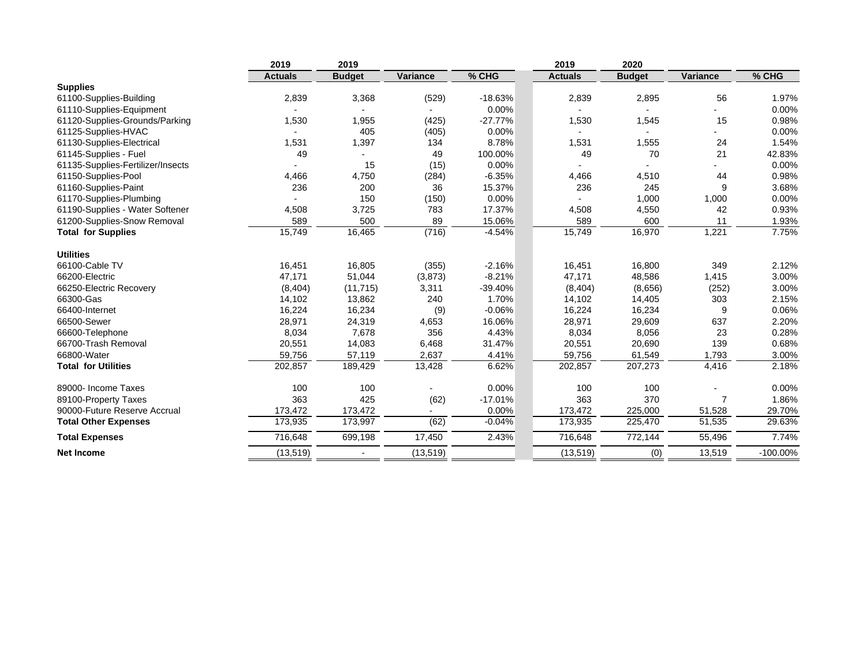|                                   | 2019           | 2019          |           |           | 2019           | 2020          |          |             |
|-----------------------------------|----------------|---------------|-----------|-----------|----------------|---------------|----------|-------------|
|                                   | <b>Actuals</b> | <b>Budget</b> | Variance  | % CHG     | <b>Actuals</b> | <b>Budget</b> | Variance | % CHG       |
| <b>Supplies</b>                   |                |               |           |           |                |               |          |             |
| 61100-Supplies-Building           | 2,839          | 3,368         | (529)     | $-18.63%$ | 2,839          | 2,895         | 56       | 1.97%       |
| 61110-Supplies-Equipment          |                |               |           | 0.00%     |                |               |          | 0.00%       |
| 61120-Supplies-Grounds/Parking    | 1,530          | 1,955         | (425)     | $-27.77%$ | 1,530          | 1,545         | 15       | 0.98%       |
| 61125-Supplies-HVAC               |                | 405           | (405)     | 0.00%     |                |               |          | 0.00%       |
| 61130-Supplies-Electrical         | 1,531          | 1,397         | 134       | 8.78%     | 1,531          | 1,555         | 24       | 1.54%       |
| 61145-Supplies - Fuel             | 49             |               | 49        | 100.00%   | 49             | 70            | 21       | 42.83%      |
| 61135-Supplies-Fertilizer/Insects |                | 15            | (15)      | 0.00%     |                |               |          | 0.00%       |
| 61150-Supplies-Pool               | 4,466          | 4,750         | (284)     | $-6.35%$  | 4,466          | 4,510         | 44       | 0.98%       |
| 61160-Supplies-Paint              | 236            | 200           | 36        | 15.37%    | 236            | 245           | 9        | 3.68%       |
| 61170-Supplies-Plumbing           |                | 150           | (150)     | 0.00%     |                | 1,000         | 1,000    | 0.00%       |
| 61190-Supplies - Water Softener   | 4,508          | 3,725         | 783       | 17.37%    | 4,508          | 4,550         | 42       | 0.93%       |
| 61200-Supplies-Snow Removal       | 589            | 500           | 89        | 15.06%    | 589            | 600           | 11       | 1.93%       |
| <b>Total for Supplies</b>         | 15,749         | 16,465        | (716)     | $-4.54%$  | 15,749         | 16,970        | 1,221    | 7.75%       |
| <b>Utilities</b>                  |                |               |           |           |                |               |          |             |
| 66100-Cable TV                    | 16,451         | 16,805        | (355)     | $-2.16%$  | 16,451         | 16,800        | 349      | 2.12%       |
| 66200-Electric                    | 47,171         | 51,044        | (3,873)   | $-8.21%$  | 47,171         | 48,586        | 1,415    | 3.00%       |
| 66250-Electric Recovery           | (8,404)        | (11, 715)     | 3,311     | $-39.40%$ | (8,404)        | (8,656)       | (252)    | 3.00%       |
| 66300-Gas                         | 14,102         | 13,862        | 240       | 1.70%     | 14,102         | 14,405        | 303      | 2.15%       |
| 66400-Internet                    | 16,224         | 16,234        | (9)       | $-0.06%$  | 16,224         | 16,234        | 9        | 0.06%       |
| 66500-Sewer                       | 28,971         | 24,319        | 4,653     | 16.06%    | 28,971         | 29,609        | 637      | 2.20%       |
| 66600-Telephone                   | 8,034          | 7,678         | 356       | 4.43%     | 8,034          | 8,056         | 23       | 0.28%       |
| 66700-Trash Removal               | 20,551         | 14,083        | 6,468     | 31.47%    | 20,551         | 20,690        | 139      | 0.68%       |
| 66800-Water                       | 59,756         | 57,119        | 2,637     | 4.41%     | 59,756         | 61,549        | 1,793    | 3.00%       |
| <b>Total for Utilities</b>        | 202,857        | 189,429       | 13,428    | 6.62%     | 202,857        | 207,273       | 4,416    | 2.18%       |
| 89000- Income Taxes               | 100            | 100           |           | 0.00%     | 100            | 100           |          | 0.00%       |
| 89100-Property Taxes              | 363            | 425           | (62)      | $-17.01%$ | 363            | 370           | 7        | 1.86%       |
| 90000-Future Reserve Accrual      | 173,472        | 173,472       |           | 0.00%     | 173,472        | 225,000       | 51,528   | 29.70%      |
| <b>Total Other Expenses</b>       | 173,935        | 173,997       | (62)      | $-0.04%$  | 173,935        | 225,470       | 51,535   | 29.63%      |
| <b>Total Expenses</b>             | 716,648        | 699,198       | 17,450    | 2.43%     | 716,648        | 772,144       | 55,496   | 7.74%       |
| <b>Net Income</b>                 | (13, 519)      |               | (13, 519) |           | (13, 519)      | (0)           | 13,519   | $-100.00\%$ |